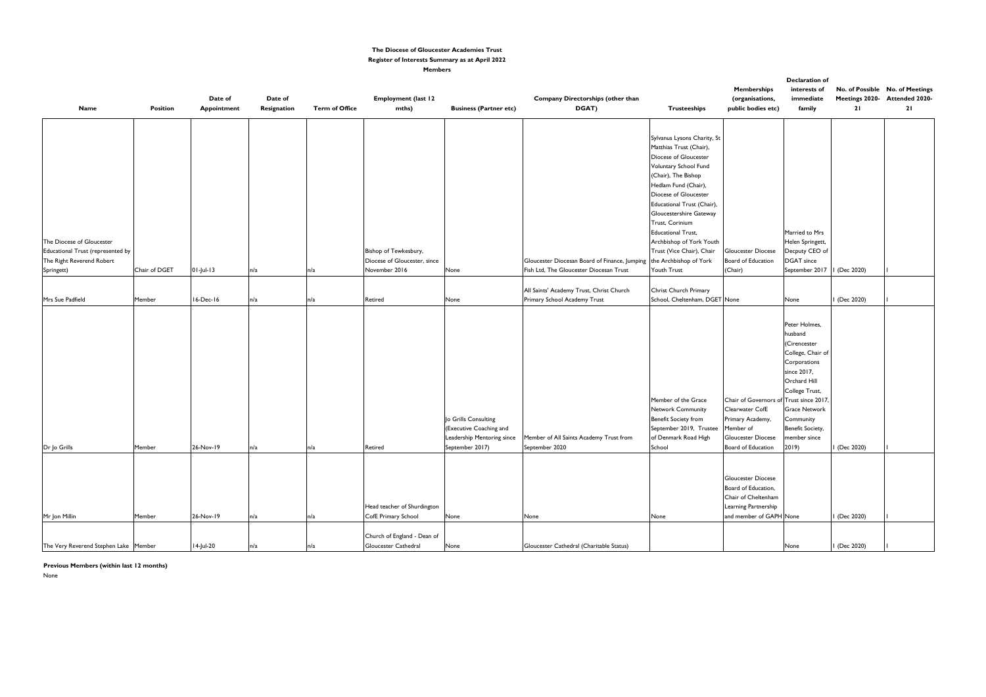|                                       |                 |              |             |                       |                              |                               |                                                                      |                               |                           | <b>Declaration of</b>         |                     |                                 |
|---------------------------------------|-----------------|--------------|-------------|-----------------------|------------------------------|-------------------------------|----------------------------------------------------------------------|-------------------------------|---------------------------|-------------------------------|---------------------|---------------------------------|
|                                       |                 |              |             |                       |                              |                               |                                                                      |                               | <b>Memberships</b>        | interests of                  |                     | No. of Possible No. of Meetings |
|                                       |                 | Date of      | Date of     |                       | <b>Employment (last 12</b>   |                               | Company Directorships (other than                                    |                               | (organisations,           | immediate                     |                     | Meetings 2020- Attended 2020-   |
| <b>Name</b>                           | <b>Position</b> | Appointment  | Resignation | <b>Term of Office</b> | mths)                        | <b>Business (Partner etc)</b> | DGAT)                                                                | <b>Trusteeships</b>           | public bodies etc)        | family                        | 21                  | 21                              |
|                                       |                 |              |             |                       |                              |                               |                                                                      |                               |                           |                               |                     |                                 |
|                                       |                 |              |             |                       |                              |                               |                                                                      |                               |                           |                               |                     |                                 |
|                                       |                 |              |             |                       |                              |                               |                                                                      | Sylvanus Lysons Charity, St   |                           |                               |                     |                                 |
|                                       |                 |              |             |                       |                              |                               |                                                                      | Matthias Trust (Chair),       |                           |                               |                     |                                 |
|                                       |                 |              |             |                       |                              |                               |                                                                      | Diocese of Gloucester         |                           |                               |                     |                                 |
|                                       |                 |              |             |                       |                              |                               |                                                                      | Voluntary School Fund         |                           |                               |                     |                                 |
|                                       |                 |              |             |                       |                              |                               |                                                                      | (Chair), The Bishop           |                           |                               |                     |                                 |
|                                       |                 |              |             |                       |                              |                               |                                                                      | Hedlam Fund (Chair),          |                           |                               |                     |                                 |
|                                       |                 |              |             |                       |                              |                               |                                                                      | Diocese of Gloucester         |                           |                               |                     |                                 |
|                                       |                 |              |             |                       |                              |                               |                                                                      | Educational Trust (Chair),    |                           |                               |                     |                                 |
|                                       |                 |              |             |                       |                              |                               |                                                                      | Gloucestershire Gateway       |                           |                               |                     |                                 |
|                                       |                 |              |             |                       |                              |                               |                                                                      | Trust, Corinium               |                           |                               |                     |                                 |
|                                       |                 |              |             |                       |                              |                               |                                                                      | <b>Educational Trust,</b>     |                           | Married to Mrs                |                     |                                 |
| The Diocese of Gloucester             |                 |              |             |                       |                              |                               |                                                                      | Archbishop of York Youth      |                           | Helen Springett,              |                     |                                 |
| Educational Trust (represented by     |                 |              |             |                       | Bishop of Tewkesbury,        |                               |                                                                      | Trust (Vice Chair), Chair     | <b>Gloucester Diocese</b> | Decputy CEO of                |                     |                                 |
| The Right Reverend Robert             |                 |              |             |                       | Diocese of Gloucester, since |                               | Gloucester Diocesan Board of Finance, Jumping the Archbishop of York |                               | Board of Education        | DGAT since                    |                     |                                 |
| Springett)                            | Chair of DGET   | $01$ -Jul-13 | n/a         | n/a                   | November 2016                | None                          | Fish Ltd, The Gloucester Diocesan Trust                              | Youth Trust                   | (Chair)                   | September 2017   I (Dec 2020) |                     |                                 |
|                                       |                 |              |             |                       |                              |                               |                                                                      |                               |                           |                               |                     |                                 |
|                                       |                 |              |             |                       |                              |                               | All Saints' Academy Trust, Christ Church                             | Christ Church Primary         |                           |                               |                     |                                 |
| Mrs Sue Padfield                      | Member          | 16-Dec-16    | n/a         | n/a                   | Retired                      | None                          | Primary School Academy Trust                                         | School, Cheltenham, DGET None |                           | None                          | (Dec 2020)          |                                 |
|                                       |                 |              |             |                       |                              |                               |                                                                      |                               |                           |                               |                     |                                 |
|                                       |                 |              |             |                       |                              |                               |                                                                      |                               |                           |                               |                     |                                 |
|                                       |                 |              |             |                       |                              |                               |                                                                      |                               |                           | Peter Holmes,                 |                     |                                 |
|                                       |                 |              |             |                       |                              |                               |                                                                      |                               |                           | husband                       |                     |                                 |
|                                       |                 |              |             |                       |                              |                               |                                                                      |                               |                           | Cirencester                   |                     |                                 |
|                                       |                 |              |             |                       |                              |                               |                                                                      |                               |                           | College, Chair of             |                     |                                 |
|                                       |                 |              |             |                       |                              |                               |                                                                      |                               |                           | Corporations                  |                     |                                 |
|                                       |                 |              |             |                       |                              |                               |                                                                      |                               |                           | since 2017,                   |                     |                                 |
|                                       |                 |              |             |                       |                              |                               |                                                                      |                               |                           | Orchard Hill                  |                     |                                 |
|                                       |                 |              |             |                       |                              |                               |                                                                      |                               |                           | College Trust,                |                     |                                 |
|                                       |                 |              |             |                       |                              |                               |                                                                      | Member of the Grace           | Chair of Governors of     | Trust since 2017              |                     |                                 |
|                                       |                 |              |             |                       |                              |                               |                                                                      | Network Community             | Clearwater CofE           | <b>Grace Network</b>          |                     |                                 |
|                                       |                 |              |             |                       |                              | Jo Grills Consulting          |                                                                      | <b>Benefit Society from</b>   | Primary Academy,          | Community                     |                     |                                 |
|                                       |                 |              |             |                       |                              | (Executive Coaching and       |                                                                      | September 2019, Trustee       | Member of                 | Benefit Society,              |                     |                                 |
|                                       |                 |              |             |                       |                              | Leadership Mentoring since    | Member of All Saints Academy Trust from                              | of Denmark Road High          | <b>Gloucester Diocese</b> | member since                  |                     |                                 |
| Dr Jo Grills                          | Member          | 26-Nov-19    | n/a         |                       | Retired                      | September 2017)               | September 2020                                                       | School                        | Board of Education 2019)  |                               | I (Dec 2020)        |                                 |
|                                       |                 |              |             |                       |                              |                               |                                                                      |                               |                           |                               |                     |                                 |
|                                       |                 |              |             |                       |                              |                               |                                                                      |                               |                           |                               |                     |                                 |
|                                       |                 |              |             |                       |                              |                               |                                                                      |                               | <b>Gloucester Diocese</b> |                               |                     |                                 |
|                                       |                 |              |             |                       |                              |                               |                                                                      |                               | Board of Education,       |                               |                     |                                 |
|                                       |                 |              |             |                       |                              |                               |                                                                      |                               | Chair of Cheltenham       |                               |                     |                                 |
|                                       |                 |              |             |                       | Head teacher of Shurdington  |                               |                                                                      |                               | Learning Partnership      |                               |                     |                                 |
| Mr Jon Millin                         | Member          | 26-Nov-19    | n/a         | n/a                   | CofE Primary School          | None                          | None                                                                 | None                          | and member of GAPH None   |                               | $\sqrt{$ (Dec 2020) |                                 |
|                                       |                 |              |             |                       |                              |                               |                                                                      |                               |                           |                               |                     |                                 |
|                                       |                 |              |             |                       | Church of England - Dean of  |                               |                                                                      |                               |                           |                               |                     |                                 |
| The Very Reverend Stephen Lake Member |                 | 14-Jul-20    | n/a         |                       | Gloucester Cathedral         | None                          | Gloucester Cathedral (Charitable Status)                             |                               |                           | None                          | I (Dec 2020)        |                                 |

None

#### **The Diocese of Gloucester Academies Trust Register of Interests Summary as at April 2022 Members**

**Previous Members (within last 12 months)**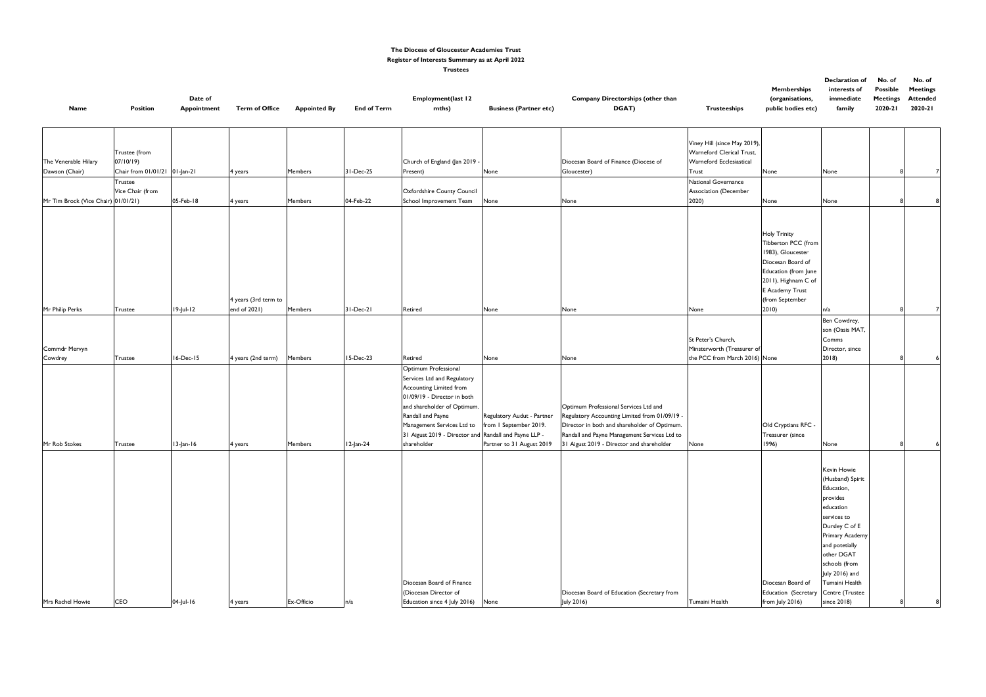|                    | Declaration of | No. of          | No. of          |
|--------------------|----------------|-----------------|-----------------|
| <b>Memberships</b> | interests of   | <b>Possible</b> | <b>Meetings</b> |
| (organisations,    | immediate      | <b>Meetings</b> | <b>Attended</b> |
| public bodies etc) | family         | 2020-21         | 2020-21         |
|                    |                |                 |                 |

| Viney Hill (since May 2019),<br>Warneford Clerical Trust,<br>Trustee (from<br>The Venerable Hilary<br>07/10/19)<br>Warneford Ecclesiastical<br>Church of England (Jan 2019<br>Diocesan Board of Finance (Diocese of<br>Chair from 01/01/21 01-Jan-21<br>Dawson (Chair)<br>31-Dec-25<br><b>Members</b><br>Present)<br>None<br>Gloucester)<br>Trust<br>None<br>None<br>4 years<br>National Governance<br>Trustee<br>Vice Chair (from<br>Association (December<br>Oxfordshire County Council<br>05-Feb-18<br>Mr Tim Brock (Vice Chair) 01/01/21)<br>04-Feb-22<br>School Improvement Team<br>2020)<br><b>Members</b><br>None<br>None<br>None<br>4 years<br>None<br><b>Holy Trinity</b><br>Tibberton PCC (from<br>1983), Gloucester<br>Diocesan Board of<br>Education (from June<br>2011), Highnam C of<br>E Academy Trust<br>(from September<br>4 years (3rd term to<br>$19$ -Jul-12<br>end of 2021)<br>2010<br>Mr Philip Perks<br><b>Members</b><br>$31-Dec-21$<br>Retired<br>None<br>None<br>None<br>n/a<br><b>Trustee</b><br>Ben Cowdrey,<br>son (Oasis MAT,<br>St Peter's Church,<br>Comms<br>Commdr Mervyn<br>Minsterworth (Treasurer of<br>Director, since<br>2018<br>16-Dec-15<br>15-Dec-23<br>the PCC from March 2016) None<br>4 years (2nd term)<br>Cowdrey<br>Members<br>Retired<br>None<br>None<br><b>Trustee</b><br>Optimum Professional<br>Services Ltd and Regulatory<br>Accounting Limited from<br>01/09/19 - Director in both<br>and shareholder of Optimum.<br>Optimum Professional Services Ltd and<br>Randall and Payne<br>Regulatory Accounting Limited from 01/09/19 -<br>Regulatory Audut - Partner<br>Management Services Ltd to<br>Director in both and shareholder of Optimum.<br>from I September 2019.<br>Old Cryptians RFC -<br>31 Aigust 2019 - Director and Randall and Payne LLP -<br>Randall and Payne Management Services Ltd to<br>Treasurer (since<br>shareholder<br>Mr Rob Stokes<br>$13$ -Jan-16<br>Partner to 31 August 2019<br>31 Aigust 2019 - Director and shareholder<br>1996)<br><b>Members</b><br>12-Jan-24<br>None<br>Trustee<br>None<br>4 years<br>Kevin Howie<br>(Husband) Spirit<br>Education,<br>provides<br>education<br>services to<br>Dursley C of E<br>Primary Academy<br>and potetially<br>other DGAT<br>schools (from<br>July 2016) and<br>Diocesan Board of Finance<br>Tumaini Health<br>Diocesan Board of<br>(Diocesan Director of<br>Diocesan Board of Education (Secretary from<br>Education (Secretary<br>Centre (Trustee | <b>Name</b>      | <b>Position</b> | Date of<br><b>Appointment</b> | <b>Term of Office</b> | <b>Appointed By</b> | <b>End of Term</b> | <b>Employment(last 12</b><br>mths) | <b>Business (Partner etc)</b> | Company Directorships (other than<br>DGAT) | <b>Trusteeships</b> | <b>LICHING</b> SHIPS<br>(organisations,<br>public bodies etc) | ווונכו כאנא טו<br>immediate<br>family | <b>L</b> OSSIDIE<br><b>Meetings</b><br>2020-21 | riceungs<br><b>Attended</b><br>2020-21 |  |
|-----------------------------------------------------------------------------------------------------------------------------------------------------------------------------------------------------------------------------------------------------------------------------------------------------------------------------------------------------------------------------------------------------------------------------------------------------------------------------------------------------------------------------------------------------------------------------------------------------------------------------------------------------------------------------------------------------------------------------------------------------------------------------------------------------------------------------------------------------------------------------------------------------------------------------------------------------------------------------------------------------------------------------------------------------------------------------------------------------------------------------------------------------------------------------------------------------------------------------------------------------------------------------------------------------------------------------------------------------------------------------------------------------------------------------------------------------------------------------------------------------------------------------------------------------------------------------------------------------------------------------------------------------------------------------------------------------------------------------------------------------------------------------------------------------------------------------------------------------------------------------------------------------------------------------------------------------------------------------------------------------------------------------------------------------------------------------------------------------------------------------------------------------------------------------------------------------------------------------------------------------------------------------------------------------------------------------------------------------------------------------------------------------------------------------------------------------------------------------------|------------------|-----------------|-------------------------------|-----------------------|---------------------|--------------------|------------------------------------|-------------------------------|--------------------------------------------|---------------------|---------------------------------------------------------------|---------------------------------------|------------------------------------------------|----------------------------------------|--|
|                                                                                                                                                                                                                                                                                                                                                                                                                                                                                                                                                                                                                                                                                                                                                                                                                                                                                                                                                                                                                                                                                                                                                                                                                                                                                                                                                                                                                                                                                                                                                                                                                                                                                                                                                                                                                                                                                                                                                                                                                                                                                                                                                                                                                                                                                                                                                                                                                                                                                   |                  |                 |                               |                       |                     |                    |                                    |                               |                                            |                     |                                                               |                                       |                                                |                                        |  |
|                                                                                                                                                                                                                                                                                                                                                                                                                                                                                                                                                                                                                                                                                                                                                                                                                                                                                                                                                                                                                                                                                                                                                                                                                                                                                                                                                                                                                                                                                                                                                                                                                                                                                                                                                                                                                                                                                                                                                                                                                                                                                                                                                                                                                                                                                                                                                                                                                                                                                   |                  |                 |                               |                       |                     |                    |                                    |                               |                                            |                     |                                                               |                                       |                                                |                                        |  |
|                                                                                                                                                                                                                                                                                                                                                                                                                                                                                                                                                                                                                                                                                                                                                                                                                                                                                                                                                                                                                                                                                                                                                                                                                                                                                                                                                                                                                                                                                                                                                                                                                                                                                                                                                                                                                                                                                                                                                                                                                                                                                                                                                                                                                                                                                                                                                                                                                                                                                   |                  |                 |                               |                       |                     |                    |                                    |                               |                                            |                     |                                                               |                                       |                                                |                                        |  |
|                                                                                                                                                                                                                                                                                                                                                                                                                                                                                                                                                                                                                                                                                                                                                                                                                                                                                                                                                                                                                                                                                                                                                                                                                                                                                                                                                                                                                                                                                                                                                                                                                                                                                                                                                                                                                                                                                                                                                                                                                                                                                                                                                                                                                                                                                                                                                                                                                                                                                   |                  |                 |                               |                       |                     |                    |                                    |                               |                                            |                     |                                                               |                                       |                                                |                                        |  |
|                                                                                                                                                                                                                                                                                                                                                                                                                                                                                                                                                                                                                                                                                                                                                                                                                                                                                                                                                                                                                                                                                                                                                                                                                                                                                                                                                                                                                                                                                                                                                                                                                                                                                                                                                                                                                                                                                                                                                                                                                                                                                                                                                                                                                                                                                                                                                                                                                                                                                   |                  |                 |                               |                       |                     |                    |                                    |                               |                                            |                     |                                                               |                                       |                                                |                                        |  |
|                                                                                                                                                                                                                                                                                                                                                                                                                                                                                                                                                                                                                                                                                                                                                                                                                                                                                                                                                                                                                                                                                                                                                                                                                                                                                                                                                                                                                                                                                                                                                                                                                                                                                                                                                                                                                                                                                                                                                                                                                                                                                                                                                                                                                                                                                                                                                                                                                                                                                   |                  |                 |                               |                       |                     |                    |                                    |                               |                                            |                     |                                                               |                                       |                                                |                                        |  |
|                                                                                                                                                                                                                                                                                                                                                                                                                                                                                                                                                                                                                                                                                                                                                                                                                                                                                                                                                                                                                                                                                                                                                                                                                                                                                                                                                                                                                                                                                                                                                                                                                                                                                                                                                                                                                                                                                                                                                                                                                                                                                                                                                                                                                                                                                                                                                                                                                                                                                   |                  |                 |                               |                       |                     |                    |                                    |                               |                                            |                     |                                                               |                                       |                                                |                                        |  |
|                                                                                                                                                                                                                                                                                                                                                                                                                                                                                                                                                                                                                                                                                                                                                                                                                                                                                                                                                                                                                                                                                                                                                                                                                                                                                                                                                                                                                                                                                                                                                                                                                                                                                                                                                                                                                                                                                                                                                                                                                                                                                                                                                                                                                                                                                                                                                                                                                                                                                   |                  |                 |                               |                       |                     |                    |                                    |                               |                                            |                     |                                                               |                                       |                                                |                                        |  |
|                                                                                                                                                                                                                                                                                                                                                                                                                                                                                                                                                                                                                                                                                                                                                                                                                                                                                                                                                                                                                                                                                                                                                                                                                                                                                                                                                                                                                                                                                                                                                                                                                                                                                                                                                                                                                                                                                                                                                                                                                                                                                                                                                                                                                                                                                                                                                                                                                                                                                   |                  |                 |                               |                       |                     |                    |                                    |                               |                                            |                     |                                                               |                                       |                                                |                                        |  |
|                                                                                                                                                                                                                                                                                                                                                                                                                                                                                                                                                                                                                                                                                                                                                                                                                                                                                                                                                                                                                                                                                                                                                                                                                                                                                                                                                                                                                                                                                                                                                                                                                                                                                                                                                                                                                                                                                                                                                                                                                                                                                                                                                                                                                                                                                                                                                                                                                                                                                   | Mrs Rachel Howie | <b>CEO</b>      | 04-Jul-16                     | 4 years               | Ex-Officio          | n/a                | Education since 4 July 2016) None  |                               | July 2016)                                 | Tumaini Health      | from July 2016)                                               | since 2018)                           |                                                |                                        |  |

#### **The Diocese of Gloucester Academies Trust Register of Interests Summary as at April 2022**

**Trustees**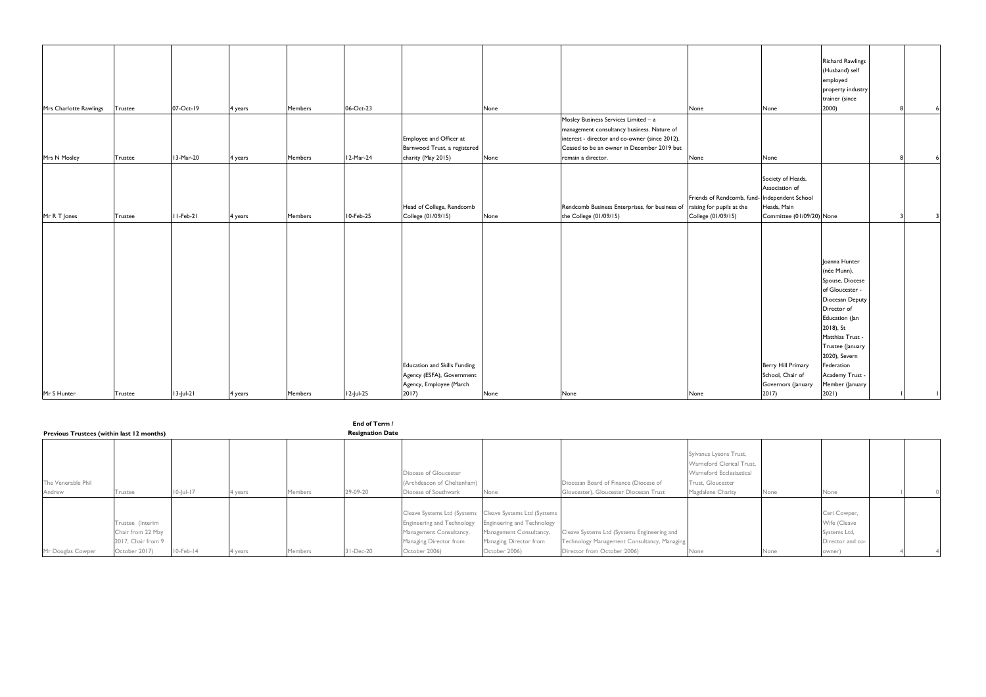|                        |                |              |         |                |           |                              |      |                                                                          |                                               |                           | <b>Richard Rawlings</b> |  |  |
|------------------------|----------------|--------------|---------|----------------|-----------|------------------------------|------|--------------------------------------------------------------------------|-----------------------------------------------|---------------------------|-------------------------|--|--|
|                        |                |              |         |                |           |                              |      |                                                                          |                                               |                           | (Husband) self          |  |  |
|                        |                |              |         |                |           |                              |      |                                                                          |                                               |                           | employed                |  |  |
|                        |                |              |         |                |           |                              |      |                                                                          |                                               |                           | property industry       |  |  |
|                        |                |              |         |                |           |                              |      |                                                                          |                                               |                           | trainer (since          |  |  |
| Mrs Charlotte Rawlings | Trustee        | 07-Oct-19    | 4 years | Members        | 06-Oct-23 |                              | None |                                                                          | None                                          | None                      | 2000)                   |  |  |
|                        |                |              |         |                |           |                              |      | Mosley Business Services Limited - a                                     |                                               |                           |                         |  |  |
|                        |                |              |         |                |           |                              |      | management consultancy business. Nature of                               |                                               |                           |                         |  |  |
|                        |                |              |         |                |           | Employee and Officer at      |      | interest - director and co-owner (since 2012).                           |                                               |                           |                         |  |  |
|                        |                |              |         |                |           | Barnwood Trust, a registered |      | Ceased to be an owner in December 2019 but                               |                                               |                           |                         |  |  |
| Mrs N Mosley           | Trustee        | 13-Mar-20    | 4 years | <b>Members</b> | 12-Mar-24 | charity (May 2015)           | None | remain a director.                                                       | None                                          | None                      |                         |  |  |
|                        |                |              |         |                |           |                              |      |                                                                          |                                               |                           |                         |  |  |
|                        |                |              |         |                |           |                              |      |                                                                          |                                               | Society of Heads,         |                         |  |  |
|                        |                |              |         |                |           |                              |      |                                                                          |                                               | Association of            |                         |  |  |
|                        |                |              |         |                |           |                              |      |                                                                          | Friends of Rendcomb, fund- Independent School |                           |                         |  |  |
|                        |                |              |         |                |           | Head of College, Rendcomb    |      | Rendcomb Business Enterprises, for business of raising for pupils at the |                                               | Heads, Main               |                         |  |  |
| Mr R T Jones           | Trustee        | $II-Feb-2I$  | 4 years | <b>Members</b> | 10-Feb-25 | College (01/09/15)           | None | the College (01/09/15)                                                   | College (01/09/15)                            | Committee (01/09/20) None |                         |  |  |
|                        |                |              |         |                |           |                              |      |                                                                          |                                               |                           |                         |  |  |
|                        |                |              |         |                |           |                              |      |                                                                          |                                               |                           |                         |  |  |
|                        |                |              |         |                |           |                              |      |                                                                          |                                               |                           |                         |  |  |
|                        |                |              |         |                |           |                              |      |                                                                          |                                               |                           |                         |  |  |
|                        |                |              |         |                |           |                              |      |                                                                          |                                               |                           | Joanna Hunter           |  |  |
|                        |                |              |         |                |           |                              |      |                                                                          |                                               |                           | (née Munn),             |  |  |
|                        |                |              |         |                |           |                              |      |                                                                          |                                               |                           | Spouse, Diocese         |  |  |
|                        |                |              |         |                |           |                              |      |                                                                          |                                               |                           | of Gloucester -         |  |  |
|                        |                |              |         |                |           |                              |      |                                                                          |                                               |                           | Diocesan Deputy         |  |  |
|                        |                |              |         |                |           |                              |      |                                                                          |                                               |                           | Director of             |  |  |
|                        |                |              |         |                |           |                              |      |                                                                          |                                               |                           | Education (Jan          |  |  |
|                        |                |              |         |                |           |                              |      |                                                                          |                                               |                           | 2018), St               |  |  |
|                        |                |              |         |                |           |                              |      |                                                                          |                                               |                           | Matthias Trust -        |  |  |
|                        |                |              |         |                |           |                              |      |                                                                          |                                               |                           | Trustee (January        |  |  |
|                        |                |              |         |                |           |                              |      |                                                                          |                                               |                           | 2020), Severn           |  |  |
|                        |                |              |         |                |           | Education and Skills Funding |      |                                                                          |                                               | Berry Hill Primary        | Federation              |  |  |
|                        |                |              |         |                |           | Agency (ESFA), Government    |      |                                                                          |                                               | School, Chair of          | Academy Trust -         |  |  |
|                        |                |              |         |                |           | Agency, Employee (March      |      |                                                                          |                                               | Governors (January        | Member (January         |  |  |
| Mr S Hunter            | <b>Trustee</b> | $13$ -Jul-21 | 4 years | <b>Members</b> | 12-Jul-25 | 2017                         | None | None                                                                     | None                                          | $2017$ )                  | 2021)                   |  |  |

**End of Term /** 

|                                           |                                                                              |                 |         |         | ENG OF TEMPT            |                                                                                                                                                              |                                                                                                         |                                                                                                                           |                                                                                                                           |      |                                                                            |  |  |  |
|-------------------------------------------|------------------------------------------------------------------------------|-----------------|---------|---------|-------------------------|--------------------------------------------------------------------------------------------------------------------------------------------------------------|---------------------------------------------------------------------------------------------------------|---------------------------------------------------------------------------------------------------------------------------|---------------------------------------------------------------------------------------------------------------------------|------|----------------------------------------------------------------------------|--|--|--|
| Previous Trustees (within last 12 months) |                                                                              |                 |         |         | <b>Resignation Date</b> |                                                                                                                                                              |                                                                                                         |                                                                                                                           |                                                                                                                           |      |                                                                            |  |  |  |
| The Venerable Phil<br>Andrew              | Trustee                                                                      | $10$ -Jul-17    | 4 years | Members | 29-09-20                | Diocese of Gloucester<br>(Archdeacon of Cheltenham)<br>Diocese of Southwark                                                                                  | None                                                                                                    | Diocesan Board of Finance (Diocese of<br>Gloucester), Gloucester Diocesan Trust                                           | Sylvanus Lysons Trust,<br>Warneford Clerical Trust.<br>Warneford Ecclesiastical<br>Trust, Gloucester<br>Magdalene Charity | None | None                                                                       |  |  |  |
| Mr Douglas Cowper                         | Trustee (Interim<br>Chair from 22 May<br>2017, Chair from 9<br>October 2017) | $10$ -Feb- $14$ | 4 years | Members | $31 - Dec-20$           | Cleave Systems Ltd (Systems  Cleave Systems Ltd (Systems<br>Engineering and Technology<br>Management Consultancy,<br>Managing Director from<br>October 2006) | <b>Engineering and Technology</b><br>Management Consultancy,<br>Managing Director from<br>October 2006) | Cleave Systems Ltd (Systems Engineering and<br>Technology Management Consultancy, Managing<br>Director from October 2006) | None                                                                                                                      | None | Ceri Cowper,<br>Wife (Cleave<br>Systems Ltd,<br>Director and co-<br>owner) |  |  |  |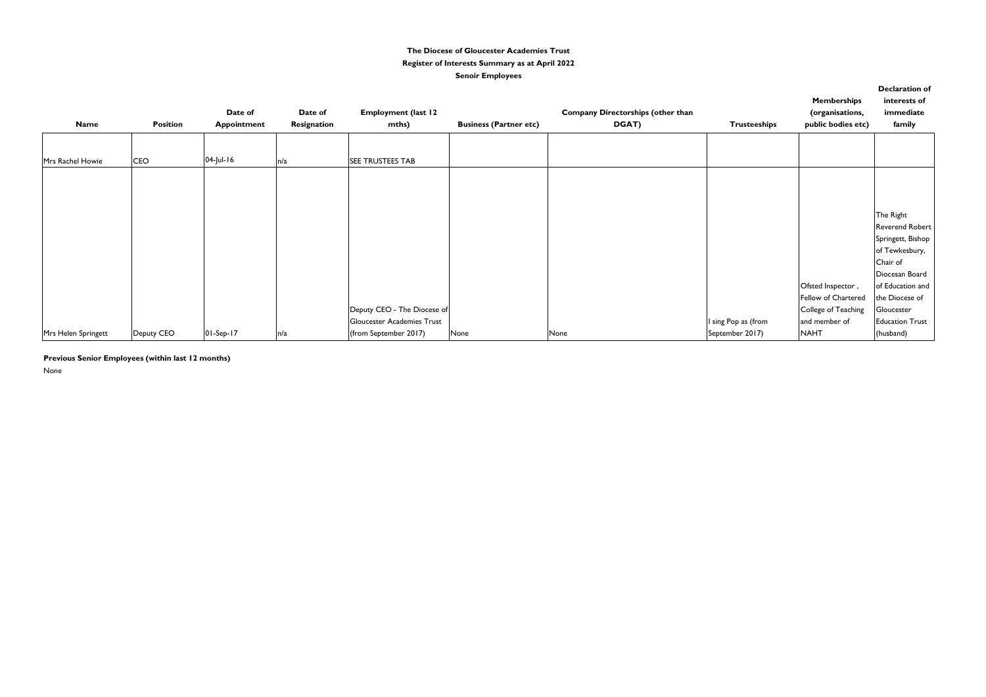| <b>Name</b>         | <b>Position</b> | Date of<br><b>Appointment</b> | Date of<br>Resignation | <b>Employment (last 12</b><br>mths)                 | <b>Business (Partner etc)</b> | <b>Company Directorships (other than</b><br>DGAT) | <b>Trusteeships</b>                    | <b>Memberships</b><br>(organisations,<br>public bodies etc)     | <b>Declaration of</b><br>interests of<br>immediate<br>family                    |
|---------------------|-----------------|-------------------------------|------------------------|-----------------------------------------------------|-------------------------------|---------------------------------------------------|----------------------------------------|-----------------------------------------------------------------|---------------------------------------------------------------------------------|
| Mrs Rachel Howie    | <b>CEO</b>      | 04-Jul-16                     | n/a                    | <b>SEE TRUSTEES TAB</b>                             |                               |                                                   |                                        |                                                                 |                                                                                 |
|                     |                 |                               |                        |                                                     |                               |                                                   |                                        |                                                                 |                                                                                 |
|                     |                 |                               |                        |                                                     |                               |                                                   |                                        |                                                                 | The Right<br>Reverend Robert<br>Springett, Bishop<br>of Tewkesbury,<br>Chair of |
|                     |                 |                               |                        | Deputy CEO - The Diocese of                         |                               |                                                   |                                        | Ofsted Inspector,<br>Fellow of Chartered<br>College of Teaching | Diocesan Board<br>of Education and<br>the Diocese of<br>Gloucester              |
| Mrs Helen Springett | Deputy CEO      | $01-Sep-17$                   | n/a                    | Gloucester Academies Trust<br>(from September 2017) | None                          | None                                              | I sing Pop as (from<br>September 2017) | and member of<br><b>NAHT</b>                                    | <b>Education Trust</b><br>(husband)                                             |

None

### **The Diocese of Gloucester Academies Trust Register of Interests Summary as at April 2022 Senoir Employees**

**Previous Senior Employees (within last 12 months)**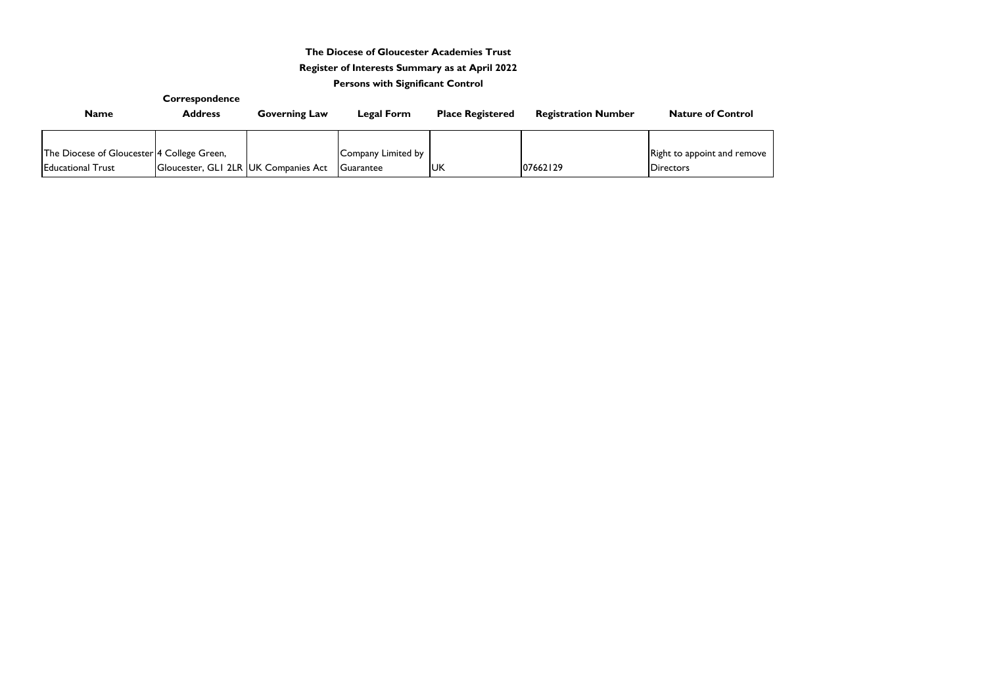|                                            | Correspondence                       |                      |                    |                         |                            |                           |
|--------------------------------------------|--------------------------------------|----------------------|--------------------|-------------------------|----------------------------|---------------------------|
| <b>Name</b>                                | <b>Address</b>                       | <b>Governing Law</b> | Legal Form         | <b>Place Registered</b> | <b>Registration Number</b> | <b>Nature of Control</b>  |
|                                            |                                      |                      |                    |                         |                            |                           |
| The Diocese of Gloucester 4 College Green, |                                      |                      | Company Limited by |                         |                            | Right to appoint and remo |
| <b>Educational Trust</b>                   | Gloucester, GLI 2LR UK Companies Act |                      | Guarantee          | <b>UK</b>               | 07662129                   | <b>Directors</b>          |

move

# **The Diocese of Gloucester Academies Trust Register of Interests Summary as at April 2022**

# **Persons with Significant Control**